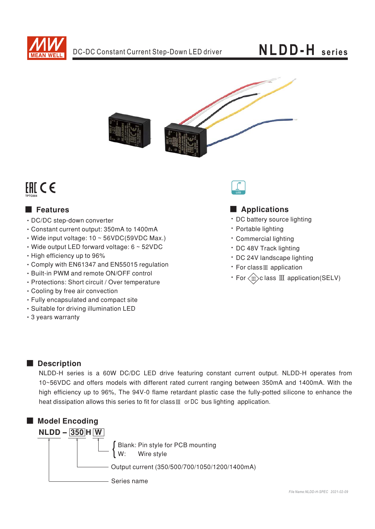

# **NLDD-H** series



# **EHICE**

## **E** Features

- DC/DC step-down converter
- Constant current output: 350mA to 1400mA
- $\cdot$  Wide input voltage: 10 ~ 56VDC(59VDC Max.)
- $\cdot$  Wide output LED forward voltage: 6  $\sim$  52VDC
- High efficiency up to 96%
- Comply with EN61347 and EN55015 regulation
- Built-in PWM and remote ON/OFF control
- · Protections: Short circuit / Over temperature
- Cooling by free air convection
- Fully encapsulated and compact site
- · Suitable for driving illumination LED
- 3 years warranty



## Applications

- DC battery source lighting
- · Portable lighting
- · Commercial lighting
- · DC 48V Track lighting
- · DC 24V landscape lighting
- For class<sub>III</sub> application
- $\cdot$  For  $\langle \mathbf{m} \rangle$ c lass  $\mathbf{m}$  application(SELV)

## Description

NLDD-H series is a 60W DC/DC LED drive featuring constant current output. NLDD-H operates from 10~56VDC and offers models with different rated current ranging between 350mA and 1400mA. With the high efficiency up to 96%, The 94V-0 flame retardant plastic case the fully-potted silicone to enhance the heat dissipation allows this series to fit for class III or DC bus lighting application.

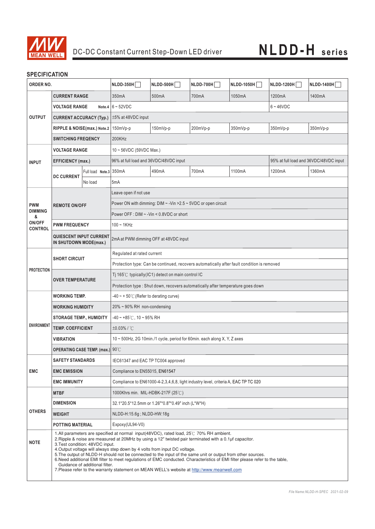

## **SPECIFICATION**

| ORDER NO.                                                                                                                                                                                                                                                                                                                                                                                                                                                                                                                                                                                                                                                                                                          |                                                          | $NLDD-350H$            | NLDD-500H                                                                                  | $NLDD-700H$ | NLDD-1050H | NLDD-1200H | <b>NLDD-1400H</b> |          |  |
|--------------------------------------------------------------------------------------------------------------------------------------------------------------------------------------------------------------------------------------------------------------------------------------------------------------------------------------------------------------------------------------------------------------------------------------------------------------------------------------------------------------------------------------------------------------------------------------------------------------------------------------------------------------------------------------------------------------------|----------------------------------------------------------|------------------------|--------------------------------------------------------------------------------------------|-------------|------------|------------|-------------------|----------|--|
| <b>CURRENT RANGE</b>                                                                                                                                                                                                                                                                                                                                                                                                                                                                                                                                                                                                                                                                                               |                                                          | 350mA                  | 500mA                                                                                      | 700mA       | 1050mA     | 1200mA     | 1400mA            |          |  |
|                                                                                                                                                                                                                                                                                                                                                                                                                                                                                                                                                                                                                                                                                                                    | <b>VOLTAGE RANGE</b>                                     |                        | Note.4 $6 \sim 52$ VDC<br>$6 - 46$ VDC                                                     |             |            |            |                   |          |  |
| <b>OUTPUT</b>                                                                                                                                                                                                                                                                                                                                                                                                                                                                                                                                                                                                                                                                                                      | <b>CURRENT ACCURACY (Typ.)</b>                           |                        | ±5% at 48VDC input                                                                         |             |            |            |                   |          |  |
|                                                                                                                                                                                                                                                                                                                                                                                                                                                                                                                                                                                                                                                                                                                    | RIPPLE & NOISE(max.) Note.2                              |                        | 150mVp-p                                                                                   | 150mVp-p    | 200mVp-p   | 350mVp-p   | 350mVp-p          | 350mVp-p |  |
|                                                                                                                                                                                                                                                                                                                                                                                                                                                                                                                                                                                                                                                                                                                    | <b>SWITCHING FREQENCY</b>                                |                        | 200KHz                                                                                     |             |            |            |                   |          |  |
|                                                                                                                                                                                                                                                                                                                                                                                                                                                                                                                                                                                                                                                                                                                    | <b>VOLTAGE RANGE</b>                                     |                        | $10 \sim 56$ VDC (59VDC Max.)                                                              |             |            |            |                   |          |  |
| <b>INPUT</b>                                                                                                                                                                                                                                                                                                                                                                                                                                                                                                                                                                                                                                                                                                       | <b>EFFICIENCY</b> (max.)                                 |                        | 96% at full load and 36VDC/48VDC input<br>95% at full load and 36VDC/48VDC input           |             |            |            |                   |          |  |
|                                                                                                                                                                                                                                                                                                                                                                                                                                                                                                                                                                                                                                                                                                                    | <b>DC CURRENT</b>                                        | Full load Note.3 350mA |                                                                                            | 490mA       | 700mA      | 1100mA     | 1200mA            | 1360mA   |  |
|                                                                                                                                                                                                                                                                                                                                                                                                                                                                                                                                                                                                                                                                                                                    |                                                          | No load                | 5 <sub>m</sub> A                                                                           |             |            |            |                   |          |  |
| <b>PWM</b>                                                                                                                                                                                                                                                                                                                                                                                                                                                                                                                                                                                                                                                                                                         | <b>REMOTE ON/OFF</b>                                     |                        | Leave open if not use                                                                      |             |            |            |                   |          |  |
|                                                                                                                                                                                                                                                                                                                                                                                                                                                                                                                                                                                                                                                                                                                    |                                                          |                        | Power ON with dimming: DIM $\sim$ -Vin > 2.5 $\sim$ 5VDC or open circuit                   |             |            |            |                   |          |  |
| <b>DIMMING</b><br>&                                                                                                                                                                                                                                                                                                                                                                                                                                                                                                                                                                                                                                                                                                |                                                          |                        | Power OFF : $DIM \sim -Vin < 0.8VDC$ or short                                              |             |            |            |                   |          |  |
| ON/OFF<br><b>CONTROL</b>                                                                                                                                                                                                                                                                                                                                                                                                                                                                                                                                                                                                                                                                                           | <b>PWM FREQUENCY</b>                                     |                        | $100 - 1$ KHz                                                                              |             |            |            |                   |          |  |
|                                                                                                                                                                                                                                                                                                                                                                                                                                                                                                                                                                                                                                                                                                                    | <b>QUIESCENT INPUT CURRENT</b><br>IN SHUTDOWN MODE(max.) |                        | 2mA at PWM dimming OFF at 48VDC input                                                      |             |            |            |                   |          |  |
|                                                                                                                                                                                                                                                                                                                                                                                                                                                                                                                                                                                                                                                                                                                    |                                                          |                        | Regulated at rated current                                                                 |             |            |            |                   |          |  |
|                                                                                                                                                                                                                                                                                                                                                                                                                                                                                                                                                                                                                                                                                                                    | <b>SHORT CIRCUIT</b>                                     |                        | Protection type: Can be continued, recovers automatically after fault condition is removed |             |            |            |                   |          |  |
| <b>PROTECTION</b>                                                                                                                                                                                                                                                                                                                                                                                                                                                                                                                                                                                                                                                                                                  | <b>OVER TEMPERATURE</b>                                  |                        | Ti 165 $\degree$ C typically(IC1) detect on main control IC                                |             |            |            |                   |          |  |
|                                                                                                                                                                                                                                                                                                                                                                                                                                                                                                                                                                                                                                                                                                                    |                                                          |                        | Protection type : Shut down, recovers automatically after temperature goes down            |             |            |            |                   |          |  |
|                                                                                                                                                                                                                                                                                                                                                                                                                                                                                                                                                                                                                                                                                                                    | <b>WORKING TEMP.</b>                                     |                        | $-40 \sim 50^{\circ}$ (Refer to derating curve)                                            |             |            |            |                   |          |  |
|                                                                                                                                                                                                                                                                                                                                                                                                                                                                                                                                                                                                                                                                                                                    | <b>WORKING HUMIDITY</b>                                  |                        | 20% ~ 90% RH non-condensing                                                                |             |            |            |                   |          |  |
|                                                                                                                                                                                                                                                                                                                                                                                                                                                                                                                                                                                                                                                                                                                    | <b>STORAGE TEMP., HUMIDITY</b>                           |                        | $-40 \sim +85^{\circ}$ C, 10 ~ 95% RH                                                      |             |            |            |                   |          |  |
| <b>ENVIRONMENT</b>                                                                                                                                                                                                                                                                                                                                                                                                                                                                                                                                                                                                                                                                                                 | <b>TEMP. COEFFICIENT</b>                                 |                        | ±0.03%/°C                                                                                  |             |            |            |                   |          |  |
|                                                                                                                                                                                                                                                                                                                                                                                                                                                                                                                                                                                                                                                                                                                    | <b>VIBRATION</b>                                         |                        | 10 ~ 500Hz, 2G 10min./1 cycle, period for 60min. each along X, Y, Z axes                   |             |            |            |                   |          |  |
|                                                                                                                                                                                                                                                                                                                                                                                                                                                                                                                                                                                                                                                                                                                    | OPERATING CASE TEMP. (max.) 90°C                         |                        |                                                                                            |             |            |            |                   |          |  |
|                                                                                                                                                                                                                                                                                                                                                                                                                                                                                                                                                                                                                                                                                                                    | <b>SAFETY STANDARDS</b>                                  |                        | IEC61347 and EAC TP TC004 approved                                                         |             |            |            |                   |          |  |
| <b>EMC</b>                                                                                                                                                                                                                                                                                                                                                                                                                                                                                                                                                                                                                                                                                                         | <b>EMC EMISSION</b>                                      |                        | Compliance to EN55015, EN61547                                                             |             |            |            |                   |          |  |
|                                                                                                                                                                                                                                                                                                                                                                                                                                                                                                                                                                                                                                                                                                                    | <b>EMC IMMUNITY</b>                                      |                        | Compliance to EN61000-4-2,3,4,6,8, light industry level, criteria A, EAC TP TC 020         |             |            |            |                   |          |  |
|                                                                                                                                                                                                                                                                                                                                                                                                                                                                                                                                                                                                                                                                                                                    | <b>MTBF</b>                                              |                        | 1000Khrs min. MIL-HDBK-217F (25°C)                                                         |             |            |            |                   |          |  |
| <b>OTHERS</b>                                                                                                                                                                                                                                                                                                                                                                                                                                                                                                                                                                                                                                                                                                      | <b>DIMENSION</b>                                         |                        | 32.1*20.5*12.5mm or 1.26"*0.8"*0.49" inch (L*W*H)                                          |             |            |            |                   |          |  |
|                                                                                                                                                                                                                                                                                                                                                                                                                                                                                                                                                                                                                                                                                                                    | <b>WEIGHT</b>                                            |                        | NLDD-H:15.6q; NLDD-HW:18q                                                                  |             |            |            |                   |          |  |
|                                                                                                                                                                                                                                                                                                                                                                                                                                                                                                                                                                                                                                                                                                                    | POTTING MATERIAL                                         |                        | Expoxy(UL94-V0)                                                                            |             |            |            |                   |          |  |
| 1. All parameters are specified at normal input(48VDC), rated load, 25°C 70% RH ambient.<br>2. Ripple & noise are measured at 20MHz by using a 12" twisted pair terminated with a 0.1µf capacitor.<br><b>NOTE</b><br>3. Test condition: 48 VDC input.<br>4. Output voltage will always step down by 4 volts from input DC voltage.<br>5. The output of NLDD-H should not be connected to the input of the same unit or output from other sources.<br>6. Need additional EMI filter to meet regulations of EMC conducted. Characteristics of EMI filter please refer to the table,<br>Guidance of additional filter.<br>7. Please refer to the warranty statement on MEAN WELL's website at http://www.meanwell.com |                                                          |                        |                                                                                            |             |            |            |                   |          |  |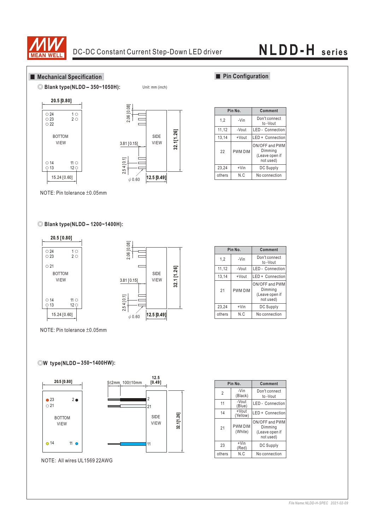

Unit: mm (inch)

## **Mechanical Specification**







**Pin No. Comment** Don't connect 1,2  $\overline{\phantom{a}}$ -Vin to -Vout

**Pin Configuration** 

|        |         | το -νουτ                                                 |  |  |
|--------|---------|----------------------------------------------------------|--|--|
| 11,12  | -Vout   | <b>LED</b> - Connection                                  |  |  |
| 13,14  | +Vout   | LED + Connection                                         |  |  |
| 22     | PWM DIM | ON/OFF and PWM<br>Dimming<br>(Leave open if<br>not used) |  |  |
| 23,24  | $+V$ in | <b>DC Supply</b>                                         |  |  |
| others | N.C     | No connection                                            |  |  |

NOTE: Pin tolerance  $\pm 0.05$ mm

## ◎ **Blank type(NLDD - 1200~1400H):**



**Pin No.** 23,24 others 1,2 11,12 13,14 21 +Vin N.C -Vin -Vout +Vout PWM DIM **Comment** DC Supply No connection Don't connect to -Vout LED - Connection LED + Connection ON/OFF and PWM Dimming (Leave open if not used)

NOTE: Pin tolerance  $\pm 0.05$ mm

## **-** ◎**W type(NLDD 350~1400HW):**



|                | Pin No.                   | Comment                                                  |  |  |
|----------------|---------------------------|----------------------------------------------------------|--|--|
| $\overline{2}$ | -Vin<br>(Black)           | Don't connect<br>to-Vout                                 |  |  |
| 11             | -Vout<br>(Blue)           | <b>LED</b> - Connection                                  |  |  |
| 14             | +Vout<br>(Yellow)         | LED + Connection                                         |  |  |
| 21             | <b>PWM DIM</b><br>(White) | ON/OFF and PWM<br>Dimming<br>(Leave open if<br>not used) |  |  |
| 23             | $+V$ in<br>(Red)          | DC Supply                                                |  |  |
| others         | N.C                       | No connection                                            |  |  |

### *File Name:NLDD-H-SPEC 2021-02-09*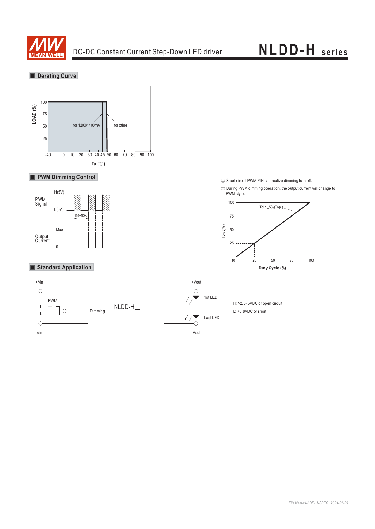

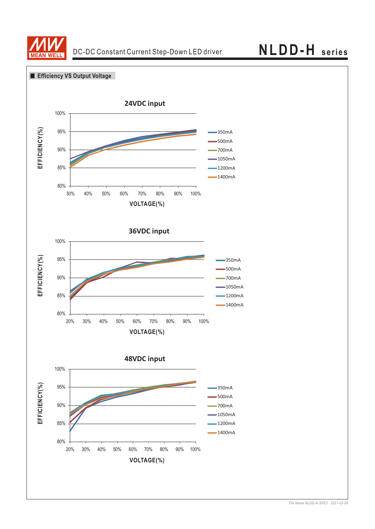